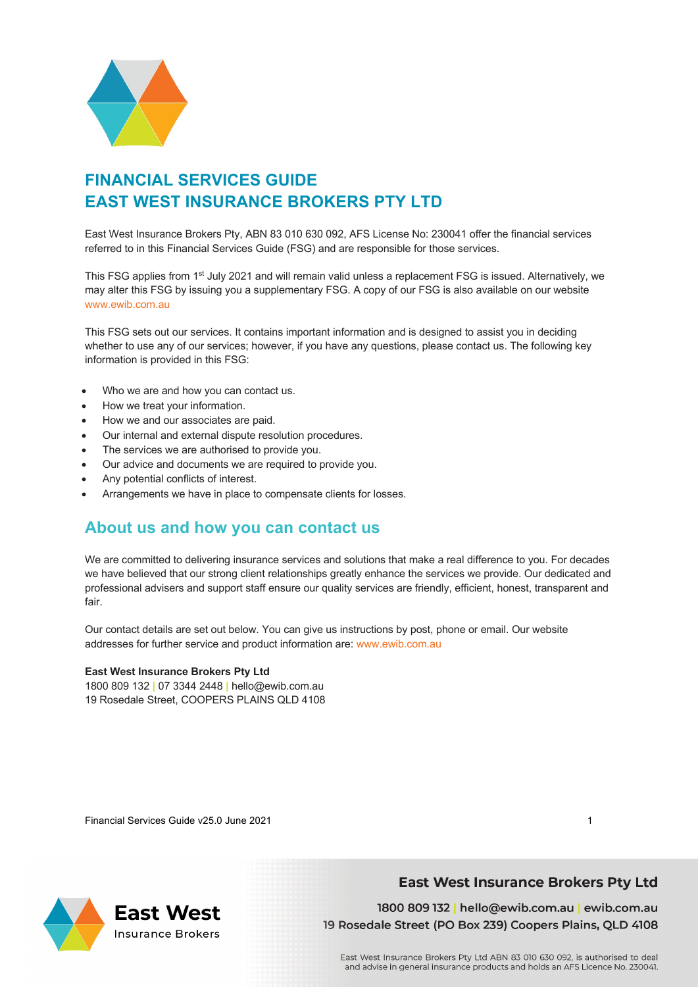

## **FINANCIAL SERVICES GUIDE EAST WEST INSURANCE BROKERS PTY LTD**

East West Insurance Brokers Pty, ABN 83 010 630 092, AFS License No: 230041 offer the financial services referred to in this Financial Services Guide (FSG) and are responsible for those services.

This FSG applies from 1<sup>st</sup> July 2021 and will remain valid unless a replacement FSG is issued. Alternatively, we may alter this FSG by issuing you a supplementary FSG. A copy of our FSG is also available on our website www.ewib.com.au

This FSG sets out our services. It contains important information and is designed to assist you in deciding whether to use any of our services; however, if you have any questions, please contact us. The following key information is provided in this FSG:

- Who we are and how you can contact us.
- How we treat your information.
- How we and our associates are paid.
- Our internal and external dispute resolution procedures.
- The services we are authorised to provide you.
- Our advice and documents we are required to provide you.
- Any potential conflicts of interest.
- Arrangements we have in place to compensate clients for losses.

## **About us and how you can contact us**

We are committed to delivering insurance services and solutions that make a real difference to you. For decades we have believed that our strong client relationships greatly enhance the services we provide. Our dedicated and professional advisers and support staff ensure our quality services are friendly, efficient, honest, transparent and fair.

Our contact details are set out below. You can give us instructions by post, phone or email. Our website addresses for further service and product information are: www.ewib.com.au

#### **East West Insurance Brokers Pty Ltd**

1800 809 132 **|** 07 3344 2448 **|** hello@ewib.com.au 19 Rosedale Street, COOPERS PLAINS QLD 4108

Financial Services Guide v25.0 June 2021 1

**East West** 

**Insurance Brokers** 

### **East West Insurance Brokers Pty Ltd**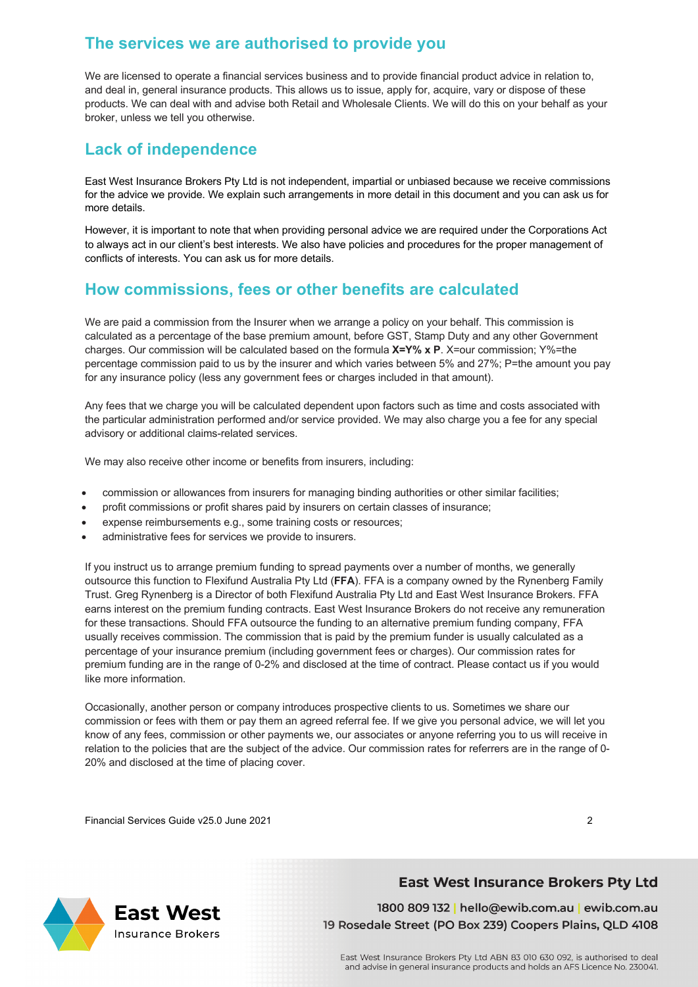## **The services we are authorised to provide you**

We are licensed to operate a financial services business and to provide financial product advice in relation to, and deal in, general insurance products. This allows us to issue, apply for, acquire, vary or dispose of these products. We can deal with and advise both Retail and Wholesale Clients. We will do this on your behalf as your broker, unless we tell you otherwise.

#### **Lack of independence**

East West Insurance Brokers Pty Ltd is not independent, impartial or unbiased because we receive commissions for the advice we provide. We explain such arrangements in more detail in this document and you can ask us for more details.

However, it is important to note that when providing personal advice we are required under the Corporations Act to always act in our client's best interests. We also have policies and procedures for the proper management of conflicts of interests. You can ask us for more details.

## **How commissions, fees or other benefits are calculated**

We are paid a commission from the Insurer when we arrange a policy on your behalf. This commission is calculated as a percentage of the base premium amount, before GST, Stamp Duty and any other Government charges. Our commission will be calculated based on the formula **X=Y% x P**. X=our commission; Y%=the percentage commission paid to us by the insurer and which varies between 5% and 27%; P=the amount you pay for any insurance policy (less any government fees or charges included in that amount).

Any fees that we charge you will be calculated dependent upon factors such as time and costs associated with the particular administration performed and/or service provided. We may also charge you a fee for any special advisory or additional claims-related services.

We may also receive other income or benefits from insurers, including:

- commission or allowances from insurers for managing binding authorities or other similar facilities;
- profit commissions or profit shares paid by insurers on certain classes of insurance;
- expense reimbursements e.g., some training costs or resources;
- administrative fees for services we provide to insurers.

If you instruct us to arrange premium funding to spread payments over a number of months, we generally outsource this function to Flexifund Australia Pty Ltd (**FFA**). FFA is a company owned by the Rynenberg Family Trust. Greg Rynenberg is a Director of both Flexifund Australia Pty Ltd and East West Insurance Brokers. FFA earns interest on the premium funding contracts. East West Insurance Brokers do not receive any remuneration for these transactions. Should FFA outsource the funding to an alternative premium funding company, FFA usually receives commission. The commission that is paid by the premium funder is usually calculated as a percentage of your insurance premium (including government fees or charges). Our commission rates for premium funding are in the range of 0-2% and disclosed at the time of contract. Please contact us if you would like more information.

Occasionally, another person or company introduces prospective clients to us. Sometimes we share our commission or fees with them or pay them an agreed referral fee. If we give you personal advice, we will let you know of any fees, commission or other payments we, our associates or anyone referring you to us will receive in relation to the policies that are the subject of the advice. Our commission rates for referrers are in the range of 0- 20% and disclosed at the time of placing cover.

Financial Services Guide v25.0 June 2021 2

**Insurance Brokers** 

# **East West**

1800 809 132 | hello@ewib.com.au | ewib.com.au 19 Rosedale Street (PO Box 239) Coopers Plains, QLD 4108

**East West Insurance Brokers Pty Ltd**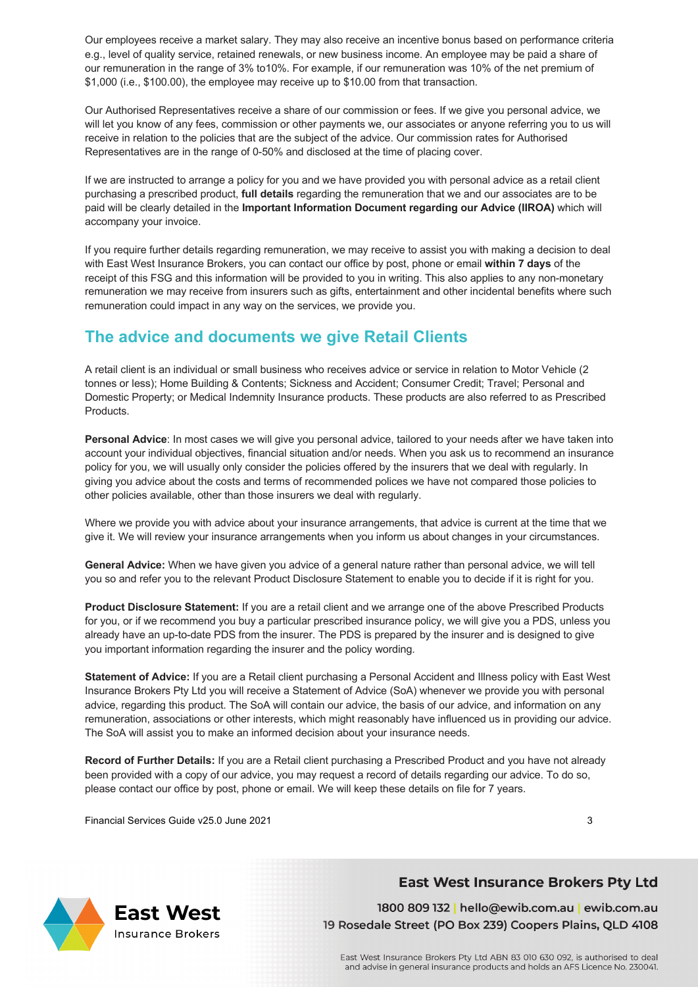Our employees receive a market salary. They may also receive an incentive bonus based on performance criteria e.g., level of quality service, retained renewals, or new business income. An employee may be paid a share of our remuneration in the range of 3% to10%. For example, if our remuneration was 10% of the net premium of \$1,000 (i.e., \$100.00), the employee may receive up to \$10.00 from that transaction.

Our Authorised Representatives receive a share of our commission or fees. If we give you personal advice, we will let you know of any fees, commission or other payments we, our associates or anyone referring you to us will receive in relation to the policies that are the subject of the advice. Our commission rates for Authorised Representatives are in the range of 0-50% and disclosed at the time of placing cover.

If we are instructed to arrange a policy for you and we have provided you with personal advice as a retail client purchasing a prescribed product, **full details** regarding the remuneration that we and our associates are to be paid will be clearly detailed in the **Important Information Document regarding our Advice (IIROA)** which will accompany your invoice.

If you require further details regarding remuneration, we may receive to assist you with making a decision to deal with East West Insurance Brokers, you can contact our office by post, phone or email **within 7 days** of the receipt of this FSG and this information will be provided to you in writing. This also applies to any non-monetary remuneration we may receive from insurers such as gifts, entertainment and other incidental benefits where such remuneration could impact in any way on the services, we provide you.

## **The advice and documents we give Retail Clients**

A retail client is an individual or small business who receives advice or service in relation to Motor Vehicle (2 tonnes or less); Home Building & Contents; Sickness and Accident; Consumer Credit; Travel; Personal and Domestic Property; or Medical Indemnity Insurance products. These products are also referred to as Prescribed Products.

**Personal Advice**: In most cases we will give you personal advice, tailored to your needs after we have taken into account your individual objectives, financial situation and/or needs. When you ask us to recommend an insurance policy for you, we will usually only consider the policies offered by the insurers that we deal with regularly. In giving you advice about the costs and terms of recommended polices we have not compared those policies to other policies available, other than those insurers we deal with regularly.

Where we provide you with advice about your insurance arrangements, that advice is current at the time that we give it. We will review your insurance arrangements when you inform us about changes in your circumstances.

**General Advice:** When we have given you advice of a general nature rather than personal advice, we will tell you so and refer you to the relevant Product Disclosure Statement to enable you to decide if it is right for you.

**Product Disclosure Statement:** If you are a retail client and we arrange one of the above Prescribed Products for you, or if we recommend you buy a particular prescribed insurance policy, we will give you a PDS, unless you already have an up-to-date PDS from the insurer. The PDS is prepared by the insurer and is designed to give you important information regarding the insurer and the policy wording.

**Statement of Advice:** If you are a Retail client purchasing a Personal Accident and Illness policy with East West Insurance Brokers Pty Ltd you will receive a Statement of Advice (SoA) whenever we provide you with personal advice, regarding this product. The SoA will contain our advice, the basis of our advice, and information on any remuneration, associations or other interests, which might reasonably have influenced us in providing our advice. The SoA will assist you to make an informed decision about your insurance needs.

**Record of Further Details:** If you are a Retail client purchasing a Prescribed Product and you have not already been provided with a copy of our advice, you may request a record of details regarding our advice. To do so, please contact our office by post, phone or email. We will keep these details on file for 7 years.

Financial Services Guide v25.0 June 2021 3

**East West** 

**Insurance Brokers** 

#### **East West Insurance Brokers Pty Ltd**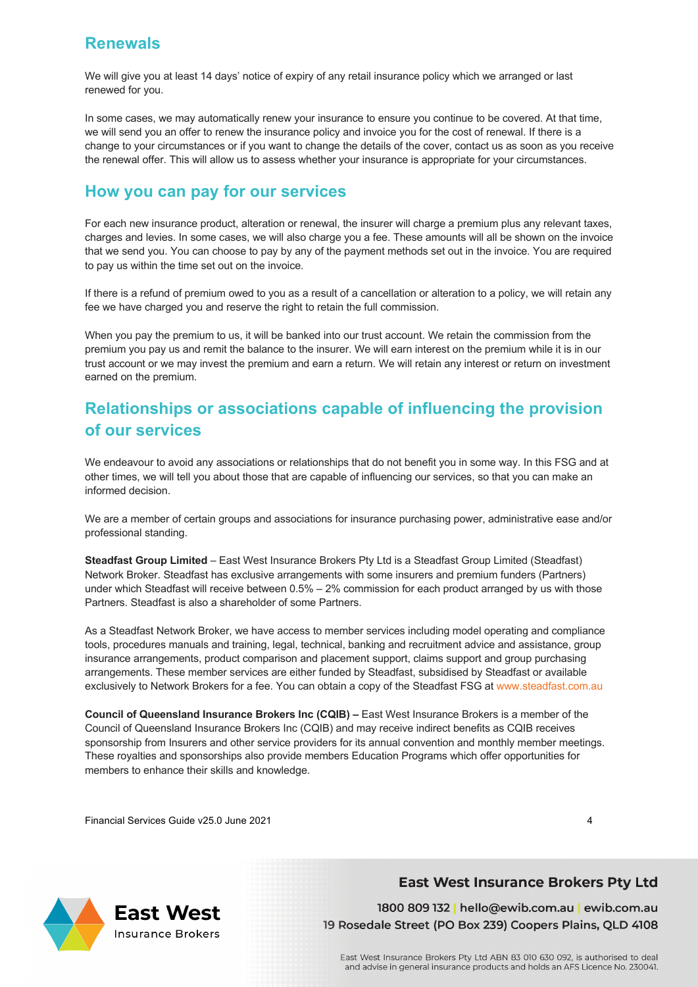## **Renewals**

We will give you at least 14 days' notice of expiry of any retail insurance policy which we arranged or last renewed for you.

In some cases, we may automatically renew your insurance to ensure you continue to be covered. At that time, we will send you an offer to renew the insurance policy and invoice you for the cost of renewal. If there is a change to your circumstances or if you want to change the details of the cover, contact us as soon as you receive the renewal offer. This will allow us to assess whether your insurance is appropriate for your circumstances.

#### **How you can pay for our services**

For each new insurance product, alteration or renewal, the insurer will charge a premium plus any relevant taxes, charges and levies. In some cases, we will also charge you a fee. These amounts will all be shown on the invoice that we send you. You can choose to pay by any of the payment methods set out in the invoice. You are required to pay us within the time set out on the invoice.

If there is a refund of premium owed to you as a result of a cancellation or alteration to a policy, we will retain any fee we have charged you and reserve the right to retain the full commission.

When you pay the premium to us, it will be banked into our trust account. We retain the commission from the premium you pay us and remit the balance to the insurer. We will earn interest on the premium while it is in our trust account or we may invest the premium and earn a return. We will retain any interest or return on investment earned on the premium.

## **Relationships or associations capable of influencing the provision of our services**

We endeavour to avoid any associations or relationships that do not benefit you in some way. In this FSG and at other times, we will tell you about those that are capable of influencing our services, so that you can make an informed decision.

We are a member of certain groups and associations for insurance purchasing power, administrative ease and/or professional standing.

**Steadfast Group Limited** – East West Insurance Brokers Pty Ltd is a Steadfast Group Limited (Steadfast) Network Broker. Steadfast has exclusive arrangements with some insurers and premium funders (Partners) under which Steadfast will receive between  $0.5\% - 2\%$  commission for each product arranged by us with those Partners. Steadfast is also a shareholder of some Partners.

As a Steadfast Network Broker, we have access to member services including model operating and compliance tools, procedures manuals and training, legal, technical, banking and recruitment advice and assistance, group insurance arrangements, product comparison and placement support, claims support and group purchasing arrangements. These member services are either funded by Steadfast, subsidised by Steadfast or available exclusively to Network Brokers for a fee. You can obtain a copy of the Steadfast FSG at www.steadfast.com.au

**Council of Queensland Insurance Brokers Inc (CQIB) –** East West Insurance Brokers is a member of the Council of Queensland Insurance Brokers Inc (CQIB) and may receive indirect benefits as CQIB receives sponsorship from Insurers and other service providers for its annual convention and monthly member meetings. These royalties and sponsorships also provide members Education Programs which offer opportunities for members to enhance their skills and knowledge.

Financial Services Guide v25.0 June 2021 4



#### **East West Insurance Brokers Pty Ltd**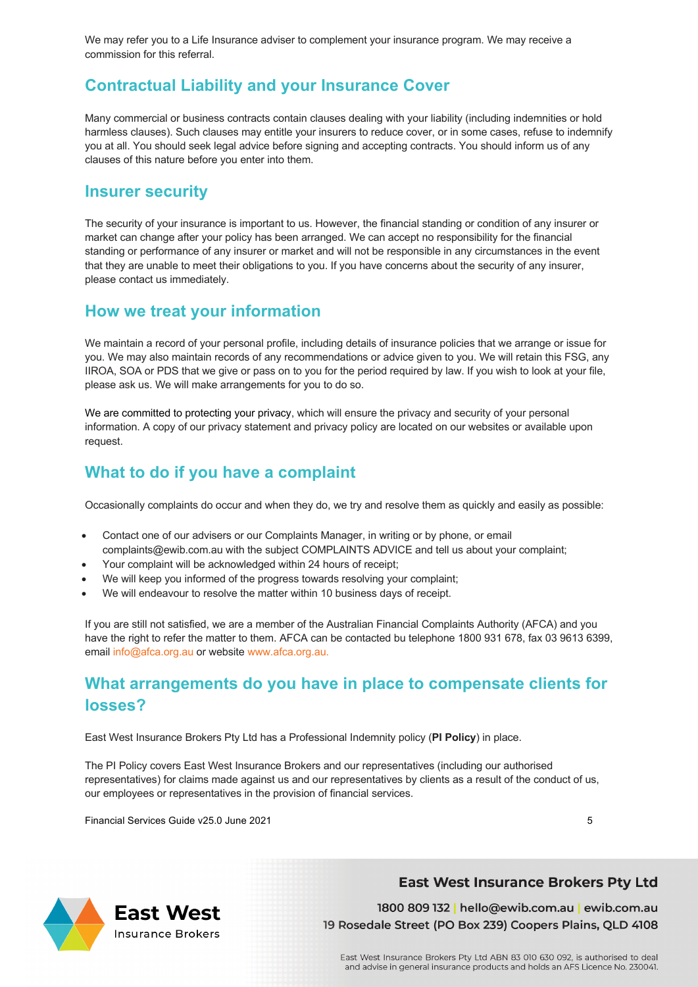We may refer you to a Life Insurance adviser to complement your insurance program. We may receive a commission for this referral.

## **Contractual Liability and your Insurance Cover**

Many commercial or business contracts contain clauses dealing with your liability (including indemnities or hold harmless clauses). Such clauses may entitle your insurers to reduce cover, or in some cases, refuse to indemnify you at all. You should seek legal advice before signing and accepting contracts. You should inform us of any clauses of this nature before you enter into them.

#### **Insurer security**

The security of your insurance is important to us. However, the financial standing or condition of any insurer or market can change after your policy has been arranged. We can accept no responsibility for the financial standing or performance of any insurer or market and will not be responsible in any circumstances in the event that they are unable to meet their obligations to you. If you have concerns about the security of any insurer, please contact us immediately.

#### **How we treat your information**

We maintain a record of your personal profile, including details of insurance policies that we arrange or issue for you. We may also maintain records of any recommendations or advice given to you. We will retain this FSG, any IIROA, SOA or PDS that we give or pass on to you for the period required by law. If you wish to look at your file, please ask us. We will make arrangements for you to do so.

We are committed to protecting your privacy, which will ensure the privacy and security of your personal information. A copy of our privacy statement and privacy policy are located on our websites or available upon request.

### **What to do if you have a complaint**

Occasionally complaints do occur and when they do, we try and resolve them as quickly and easily as possible:

- Contact one of our advisers or our Complaints Manager, in writing or by phone, or email complaints@ewib.com.au with the subject COMPLAINTS ADVICE and tell us about your complaint;
- Your complaint will be acknowledged within 24 hours of receipt;
- We will keep you informed of the progress towards resolving your complaint;
- We will endeavour to resolve the matter within 10 business days of receipt.

If you are still not satisfied, we are a member of the Australian Financial Complaints Authority (AFCA) and you have the right to refer the matter to them. AFCA can be contacted bu telephone 1800 931 678, fax 03 9613 6399, email info@afca.org.au or website www.afca.org.au.

## **What arrangements do you have in place to compensate clients for losses?**

East West Insurance Brokers Pty Ltd has a Professional Indemnity policy (**PI Policy**) in place.

The PI Policy covers East West Insurance Brokers and our representatives (including our authorised representatives) for claims made against us and our representatives by clients as a result of the conduct of us, our employees or representatives in the provision of financial services.

Financial Services Guide v25.0 June 2021 5

**East West** 

**Insurance Brokers**